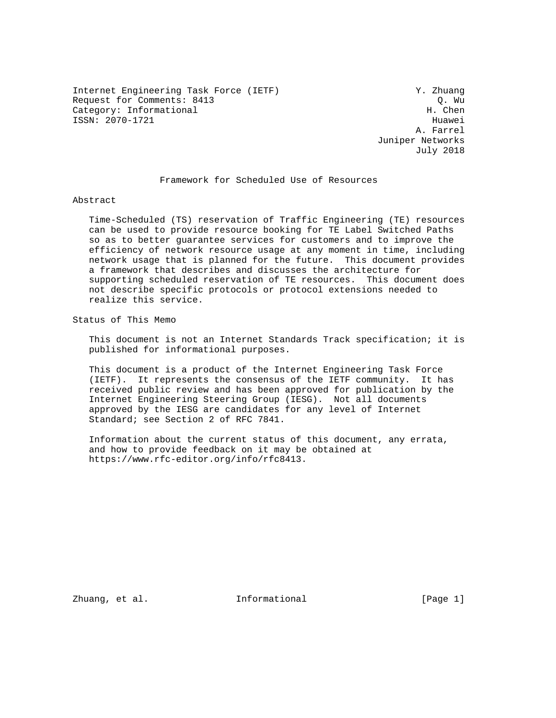Internet Engineering Task Force (IETF) Y. Zhuang Request for Comments: 8413 Q. Wu (2. Wu (2. Wu (2. Wu ) and Category: Informational Category: Informational ISSN: 2070-1721 Huawei

 A. Farrel Juniper Networks July 2018

### Framework for Scheduled Use of Resources

Abstract

 Time-Scheduled (TS) reservation of Traffic Engineering (TE) resources can be used to provide resource booking for TE Label Switched Paths so as to better guarantee services for customers and to improve the efficiency of network resource usage at any moment in time, including network usage that is planned for the future. This document provides a framework that describes and discusses the architecture for supporting scheduled reservation of TE resources. This document does not describe specific protocols or protocol extensions needed to realize this service.

Status of This Memo

 This document is not an Internet Standards Track specification; it is published for informational purposes.

 This document is a product of the Internet Engineering Task Force (IETF). It represents the consensus of the IETF community. It has received public review and has been approved for publication by the Internet Engineering Steering Group (IESG). Not all documents approved by the IESG are candidates for any level of Internet Standard; see Section 2 of RFC 7841.

 Information about the current status of this document, any errata, and how to provide feedback on it may be obtained at https://www.rfc-editor.org/info/rfc8413.

Zhuang, et al. 100 Informational 100 Informational [Page 1]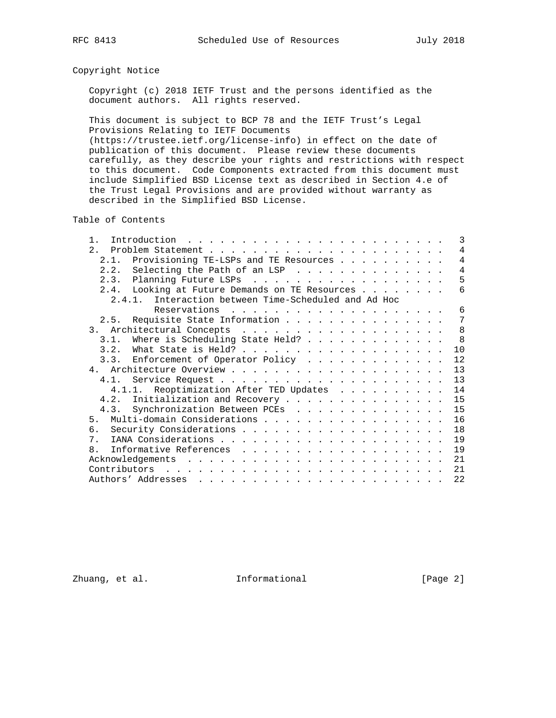# Copyright Notice

 Copyright (c) 2018 IETF Trust and the persons identified as the document authors. All rights reserved.

 This document is subject to BCP 78 and the IETF Trust's Legal Provisions Relating to IETF Documents (https://trustee.ietf.org/license-info) in effect on the date of publication of this document. Please review these documents carefully, as they describe your rights and restrictions with respect to this document. Code Components extracted from this document must include Simplified BSD License text as described in Section 4.e of the Trust Legal Provisions and are provided without warranty as described in the Simplified BSD License.

Table of Contents

| $\mathbf{1}$   | 3<br>Introduction $\ldots \ldots \ldots \ldots \ldots \ldots \ldots \ldots$ |
|----------------|-----------------------------------------------------------------------------|
|                | $\overline{4}$                                                              |
|                | $\overline{4}$<br>2.1. Provisioning TE-LSPs and TE Resources                |
|                | $\overline{4}$<br>2.2. Selecting the Path of an LSP                         |
|                | 5<br>2.3. Planning Future LSPs                                              |
|                | 2.4. Looking at Future Demands on TE Resources<br>6                         |
|                | 2.4.1. Interaction between Time-Scheduled and Ad Hoc                        |
|                | 6                                                                           |
|                | 2.5. Requisite State Information<br>7                                       |
|                | 8                                                                           |
| 3.1.           | 8<br>Where is Scheduling State Held?                                        |
| 3.2.           | 10                                                                          |
|                | 3.3. Enforcement of Operator Policy<br>12                                   |
|                | 13                                                                          |
|                | 13                                                                          |
|                | 4.1.1. Reoptimization After TED Updates<br>14                               |
|                | 4.2. Initialization and Recovery<br>15                                      |
| 4.3.           | Synchronization Between PCEs<br>15                                          |
| 5 <sub>1</sub> | Multi-domain Considerations<br>16                                           |
| б.             | 18                                                                          |
| 7 <sub>1</sub> | 19                                                                          |
| 8              | 19                                                                          |
|                | 21                                                                          |
|                |                                                                             |
| Contributors   | 21                                                                          |
|                | 22                                                                          |

Zhuang, et al. 100 and 111 and 111 and 101 and 102 and 103 and 103 and 103 and 103 and 103 and 103 and 103 and 103 and 103 and 103 and 103 and 103 and 103 and 103 and 103 and 103 and 103 and 103 and 103 and 103 and 103 and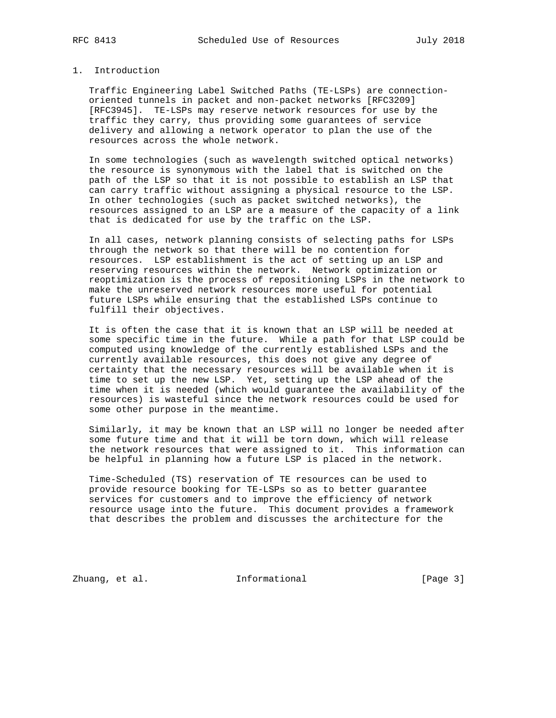# 1. Introduction

 Traffic Engineering Label Switched Paths (TE-LSPs) are connection oriented tunnels in packet and non-packet networks [RFC3209] [RFC3945]. TE-LSPs may reserve network resources for use by the traffic they carry, thus providing some guarantees of service delivery and allowing a network operator to plan the use of the resources across the whole network.

 In some technologies (such as wavelength switched optical networks) the resource is synonymous with the label that is switched on the path of the LSP so that it is not possible to establish an LSP that can carry traffic without assigning a physical resource to the LSP. In other technologies (such as packet switched networks), the resources assigned to an LSP are a measure of the capacity of a link that is dedicated for use by the traffic on the LSP.

 In all cases, network planning consists of selecting paths for LSPs through the network so that there will be no contention for resources. LSP establishment is the act of setting up an LSP and reserving resources within the network. Network optimization or reoptimization is the process of repositioning LSPs in the network to make the unreserved network resources more useful for potential future LSPs while ensuring that the established LSPs continue to fulfill their objectives.

 It is often the case that it is known that an LSP will be needed at some specific time in the future. While a path for that LSP could be computed using knowledge of the currently established LSPs and the currently available resources, this does not give any degree of certainty that the necessary resources will be available when it is time to set up the new LSP. Yet, setting up the LSP ahead of the time when it is needed (which would guarantee the availability of the resources) is wasteful since the network resources could be used for some other purpose in the meantime.

 Similarly, it may be known that an LSP will no longer be needed after some future time and that it will be torn down, which will release the network resources that were assigned to it. This information can be helpful in planning how a future LSP is placed in the network.

 Time-Scheduled (TS) reservation of TE resources can be used to provide resource booking for TE-LSPs so as to better guarantee services for customers and to improve the efficiency of network resource usage into the future. This document provides a framework that describes the problem and discusses the architecture for the

Zhuang, et al. 100 and 111 and 111 and 101 and 102 and 103 and 103 and 103 and 103 and 103 and 103 and 103 and 103 and 103 and 103 and 103 and 103 and 103 and 103 and 103 and 103 and 103 and 103 and 103 and 103 and 103 and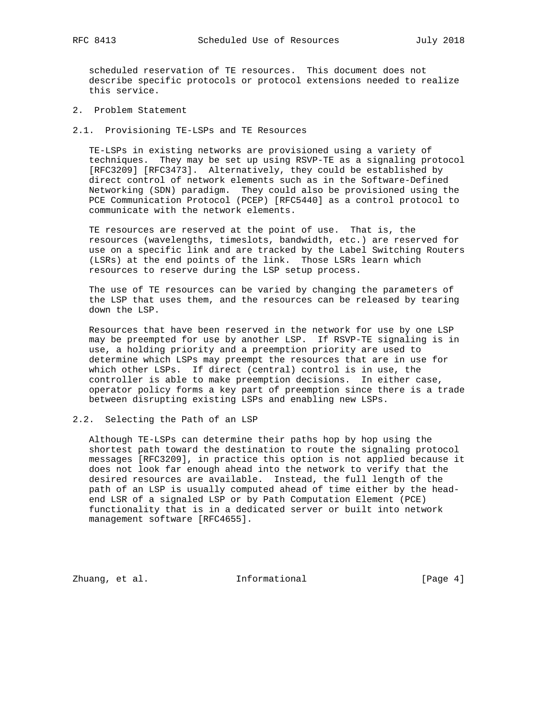scheduled reservation of TE resources. This document does not describe specific protocols or protocol extensions needed to realize this service.

2. Problem Statement

2.1. Provisioning TE-LSPs and TE Resources

 TE-LSPs in existing networks are provisioned using a variety of techniques. They may be set up using RSVP-TE as a signaling protocol [RFC3209] [RFC3473]. Alternatively, they could be established by direct control of network elements such as in the Software-Defined Networking (SDN) paradigm. They could also be provisioned using the PCE Communication Protocol (PCEP) [RFC5440] as a control protocol to communicate with the network elements.

 TE resources are reserved at the point of use. That is, the resources (wavelengths, timeslots, bandwidth, etc.) are reserved for use on a specific link and are tracked by the Label Switching Routers (LSRs) at the end points of the link. Those LSRs learn which resources to reserve during the LSP setup process.

 The use of TE resources can be varied by changing the parameters of the LSP that uses them, and the resources can be released by tearing down the LSP.

 Resources that have been reserved in the network for use by one LSP may be preempted for use by another LSP. If RSVP-TE signaling is in use, a holding priority and a preemption priority are used to determine which LSPs may preempt the resources that are in use for which other LSPs. If direct (central) control is in use, the controller is able to make preemption decisions. In either case, operator policy forms a key part of preemption since there is a trade between disrupting existing LSPs and enabling new LSPs.

## 2.2. Selecting the Path of an LSP

 Although TE-LSPs can determine their paths hop by hop using the shortest path toward the destination to route the signaling protocol messages [RFC3209], in practice this option is not applied because it does not look far enough ahead into the network to verify that the desired resources are available. Instead, the full length of the path of an LSP is usually computed ahead of time either by the head end LSR of a signaled LSP or by Path Computation Element (PCE) functionality that is in a dedicated server or built into network management software [RFC4655].

Zhuang, et al. 100 Informational 100 Informational [Page 4]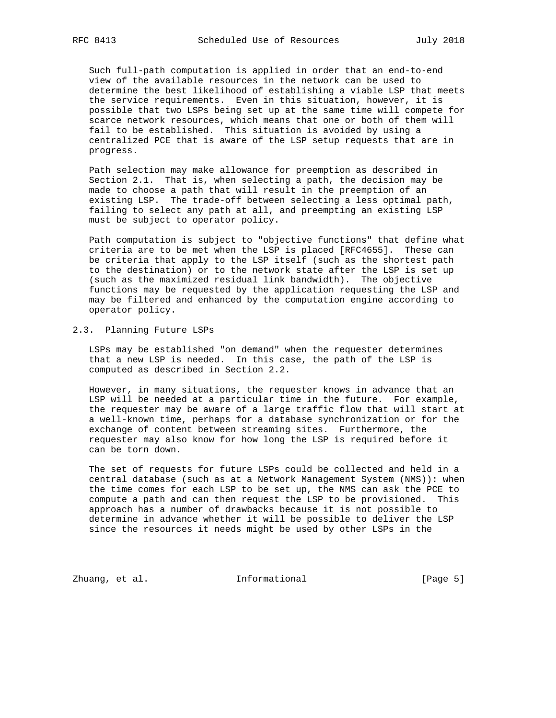Such full-path computation is applied in order that an end-to-end view of the available resources in the network can be used to determine the best likelihood of establishing a viable LSP that meets the service requirements. Even in this situation, however, it is possible that two LSPs being set up at the same time will compete for scarce network resources, which means that one or both of them will fail to be established. This situation is avoided by using a centralized PCE that is aware of the LSP setup requests that are in progress.

 Path selection may make allowance for preemption as described in Section 2.1. That is, when selecting a path, the decision may be made to choose a path that will result in the preemption of an existing LSP. The trade-off between selecting a less optimal path, failing to select any path at all, and preempting an existing LSP must be subject to operator policy.

 Path computation is subject to "objective functions" that define what criteria are to be met when the LSP is placed [RFC4655]. These can be criteria that apply to the LSP itself (such as the shortest path to the destination) or to the network state after the LSP is set up (such as the maximized residual link bandwidth). The objective functions may be requested by the application requesting the LSP and may be filtered and enhanced by the computation engine according to operator policy.

# 2.3. Planning Future LSPs

 LSPs may be established "on demand" when the requester determines that a new LSP is needed. In this case, the path of the LSP is computed as described in Section 2.2.

 However, in many situations, the requester knows in advance that an LSP will be needed at a particular time in the future. For example, the requester may be aware of a large traffic flow that will start at a well-known time, perhaps for a database synchronization or for the exchange of content between streaming sites. Furthermore, the requester may also know for how long the LSP is required before it can be torn down.

 The set of requests for future LSPs could be collected and held in a central database (such as at a Network Management System (NMS)): when the time comes for each LSP to be set up, the NMS can ask the PCE to compute a path and can then request the LSP to be provisioned. This approach has a number of drawbacks because it is not possible to determine in advance whether it will be possible to deliver the LSP since the resources it needs might be used by other LSPs in the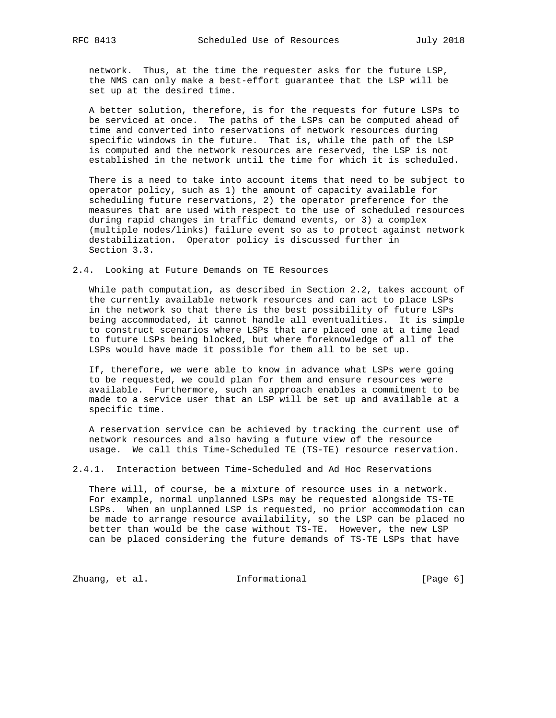network. Thus, at the time the requester asks for the future LSP, the NMS can only make a best-effort guarantee that the LSP will be set up at the desired time.

 A better solution, therefore, is for the requests for future LSPs to be serviced at once. The paths of the LSPs can be computed ahead of time and converted into reservations of network resources during specific windows in the future. That is, while the path of the LSP is computed and the network resources are reserved, the LSP is not established in the network until the time for which it is scheduled.

 There is a need to take into account items that need to be subject to operator policy, such as 1) the amount of capacity available for scheduling future reservations, 2) the operator preference for the measures that are used with respect to the use of scheduled resources during rapid changes in traffic demand events, or 3) a complex (multiple nodes/links) failure event so as to protect against network destabilization. Operator policy is discussed further in Section 3.3.

2.4. Looking at Future Demands on TE Resources

 While path computation, as described in Section 2.2, takes account of the currently available network resources and can act to place LSPs in the network so that there is the best possibility of future LSPs being accommodated, it cannot handle all eventualities. It is simple to construct scenarios where LSPs that are placed one at a time lead to future LSPs being blocked, but where foreknowledge of all of the LSPs would have made it possible for them all to be set up.

 If, therefore, we were able to know in advance what LSPs were going to be requested, we could plan for them and ensure resources were available. Furthermore, such an approach enables a commitment to be made to a service user that an LSP will be set up and available at a specific time.

 A reservation service can be achieved by tracking the current use of network resources and also having a future view of the resource usage. We call this Time-Scheduled TE (TS-TE) resource reservation.

2.4.1. Interaction between Time-Scheduled and Ad Hoc Reservations

 There will, of course, be a mixture of resource uses in a network. For example, normal unplanned LSPs may be requested alongside TS-TE LSPs. When an unplanned LSP is requested, no prior accommodation can be made to arrange resource availability, so the LSP can be placed no better than would be the case without TS-TE. However, the new LSP can be placed considering the future demands of TS-TE LSPs that have

Zhuang, et al. 1nformational 1999 [Page 6]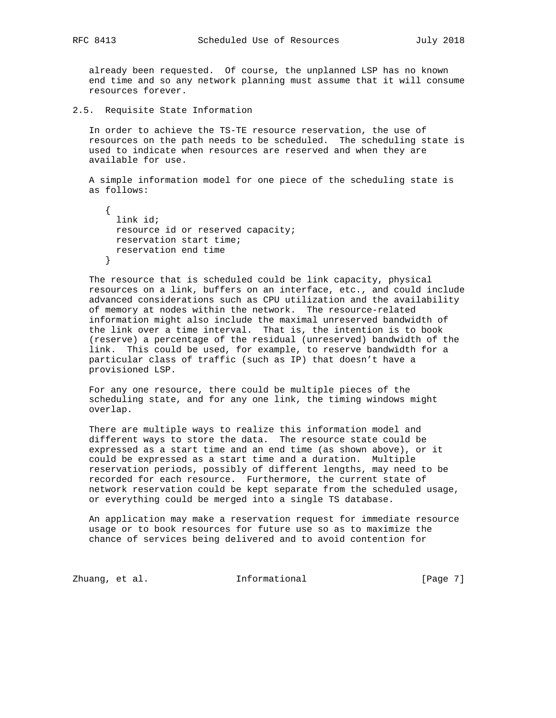already been requested. Of course, the unplanned LSP has no known end time and so any network planning must assume that it will consume resources forever.

2.5. Requisite State Information

 In order to achieve the TS-TE resource reservation, the use of resources on the path needs to be scheduled. The scheduling state is used to indicate when resources are reserved and when they are available for use.

 A simple information model for one piece of the scheduling state is as follows:

 { link id; resource id or reserved capacity; reservation start time; reservation end time }

 The resource that is scheduled could be link capacity, physical resources on a link, buffers on an interface, etc., and could include advanced considerations such as CPU utilization and the availability of memory at nodes within the network. The resource-related information might also include the maximal unreserved bandwidth of the link over a time interval. That is, the intention is to book (reserve) a percentage of the residual (unreserved) bandwidth of the link. This could be used, for example, to reserve bandwidth for a particular class of traffic (such as IP) that doesn't have a provisioned LSP.

 For any one resource, there could be multiple pieces of the scheduling state, and for any one link, the timing windows might overlap.

 There are multiple ways to realize this information model and different ways to store the data. The resource state could be expressed as a start time and an end time (as shown above), or it could be expressed as a start time and a duration. Multiple reservation periods, possibly of different lengths, may need to be recorded for each resource. Furthermore, the current state of network reservation could be kept separate from the scheduled usage, or everything could be merged into a single TS database.

 An application may make a reservation request for immediate resource usage or to book resources for future use so as to maximize the chance of services being delivered and to avoid contention for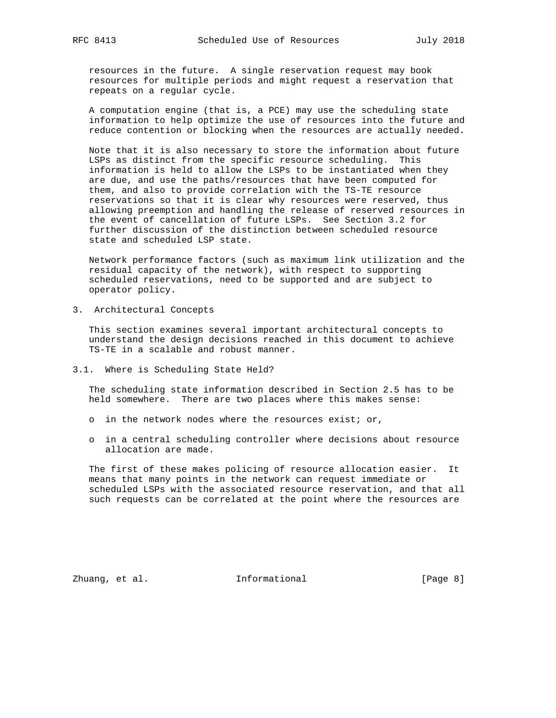resources in the future. A single reservation request may book resources for multiple periods and might request a reservation that repeats on a regular cycle.

 A computation engine (that is, a PCE) may use the scheduling state information to help optimize the use of resources into the future and reduce contention or blocking when the resources are actually needed.

 Note that it is also necessary to store the information about future LSPs as distinct from the specific resource scheduling. This information is held to allow the LSPs to be instantiated when they are due, and use the paths/resources that have been computed for them, and also to provide correlation with the TS-TE resource reservations so that it is clear why resources were reserved, thus allowing preemption and handling the release of reserved resources in the event of cancellation of future LSPs. See Section 3.2 for further discussion of the distinction between scheduled resource state and scheduled LSP state.

 Network performance factors (such as maximum link utilization and the residual capacity of the network), with respect to supporting scheduled reservations, need to be supported and are subject to operator policy.

3. Architectural Concepts

 This section examines several important architectural concepts to understand the design decisions reached in this document to achieve TS-TE in a scalable and robust manner.

3.1. Where is Scheduling State Held?

 The scheduling state information described in Section 2.5 has to be held somewhere. There are two places where this makes sense:

- o in the network nodes where the resources exist; or,
- o in a central scheduling controller where decisions about resource allocation are made.

 The first of these makes policing of resource allocation easier. It means that many points in the network can request immediate or scheduled LSPs with the associated resource reservation, and that all such requests can be correlated at the point where the resources are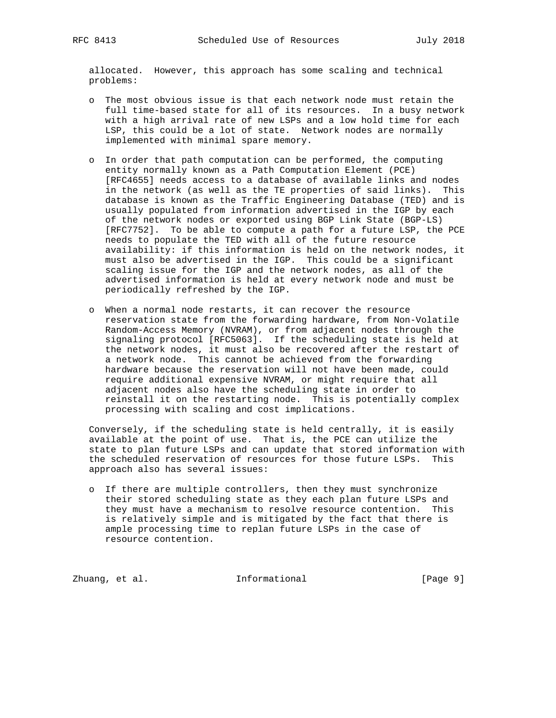allocated. However, this approach has some scaling and technical problems:

- o The most obvious issue is that each network node must retain the full time-based state for all of its resources. In a busy network with a high arrival rate of new LSPs and a low hold time for each LSP, this could be a lot of state. Network nodes are normally implemented with minimal spare memory.
- o In order that path computation can be performed, the computing entity normally known as a Path Computation Element (PCE) [RFC4655] needs access to a database of available links and nodes in the network (as well as the TE properties of said links). This database is known as the Traffic Engineering Database (TED) and is usually populated from information advertised in the IGP by each of the network nodes or exported using BGP Link State (BGP-LS) [RFC7752]. To be able to compute a path for a future LSP, the PCE needs to populate the TED with all of the future resource availability: if this information is held on the network nodes, it must also be advertised in the IGP. This could be a significant scaling issue for the IGP and the network nodes, as all of the advertised information is held at every network node and must be periodically refreshed by the IGP.
- o When a normal node restarts, it can recover the resource reservation state from the forwarding hardware, from Non-Volatile Random-Access Memory (NVRAM), or from adjacent nodes through the signaling protocol [RFC5063]. If the scheduling state is held at the network nodes, it must also be recovered after the restart of a network node. This cannot be achieved from the forwarding hardware because the reservation will not have been made, could require additional expensive NVRAM, or might require that all adjacent nodes also have the scheduling state in order to reinstall it on the restarting node. This is potentially complex processing with scaling and cost implications.

 Conversely, if the scheduling state is held centrally, it is easily available at the point of use. That is, the PCE can utilize the state to plan future LSPs and can update that stored information with the scheduled reservation of resources for those future LSPs. This approach also has several issues:

 o If there are multiple controllers, then they must synchronize their stored scheduling state as they each plan future LSPs and they must have a mechanism to resolve resource contention. This is relatively simple and is mitigated by the fact that there is ample processing time to replan future LSPs in the case of resource contention.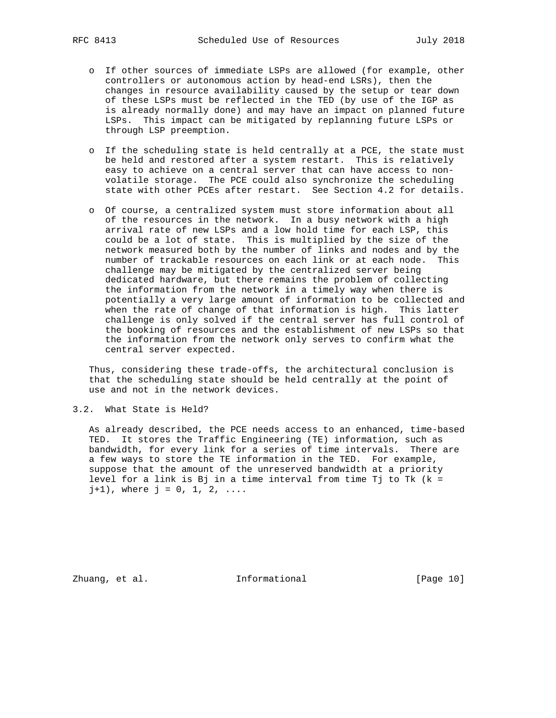- o If other sources of immediate LSPs are allowed (for example, other controllers or autonomous action by head-end LSRs), then the changes in resource availability caused by the setup or tear down of these LSPs must be reflected in the TED (by use of the IGP as is already normally done) and may have an impact on planned future LSPs. This impact can be mitigated by replanning future LSPs or through LSP preemption.
- o If the scheduling state is held centrally at a PCE, the state must be held and restored after a system restart. This is relatively easy to achieve on a central server that can have access to non volatile storage. The PCE could also synchronize the scheduling state with other PCEs after restart. See Section 4.2 for details.
- o Of course, a centralized system must store information about all of the resources in the network. In a busy network with a high arrival rate of new LSPs and a low hold time for each LSP, this could be a lot of state. This is multiplied by the size of the network measured both by the number of links and nodes and by the number of trackable resources on each link or at each node. This challenge may be mitigated by the centralized server being dedicated hardware, but there remains the problem of collecting the information from the network in a timely way when there is potentially a very large amount of information to be collected and when the rate of change of that information is high. This latter challenge is only solved if the central server has full control of the booking of resources and the establishment of new LSPs so that the information from the network only serves to confirm what the central server expected.

 Thus, considering these trade-offs, the architectural conclusion is that the scheduling state should be held centrally at the point of use and not in the network devices.

## 3.2. What State is Held?

 As already described, the PCE needs access to an enhanced, time-based TED. It stores the Traffic Engineering (TE) information, such as bandwidth, for every link for a series of time intervals. There are a few ways to store the TE information in the TED. For example, suppose that the amount of the unreserved bandwidth at a priority level for a link is Bj in a time interval from time Tj to Tk (k =  $j+1)$ , where  $j = 0, 1, 2, ...$ 

Zhuang, et al. 10 Informational 10 [Page 10]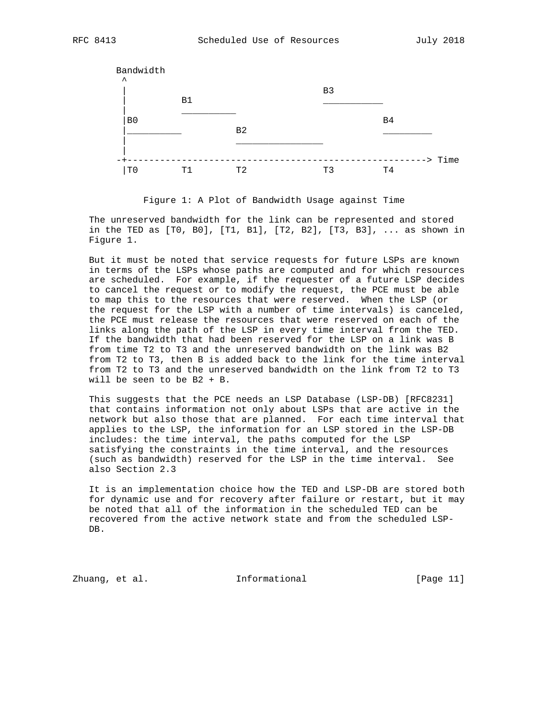

Figure 1: A Plot of Bandwidth Usage against Time

 The unreserved bandwidth for the link can be represented and stored in the TED as [T0, B0], [T1, B1], [T2, B2], [T3, B3], ... as shown in Figure 1.

 But it must be noted that service requests for future LSPs are known in terms of the LSPs whose paths are computed and for which resources are scheduled. For example, if the requester of a future LSP decides to cancel the request or to modify the request, the PCE must be able to map this to the resources that were reserved. When the LSP (or the request for the LSP with a number of time intervals) is canceled, the PCE must release the resources that were reserved on each of the links along the path of the LSP in every time interval from the TED. If the bandwidth that had been reserved for the LSP on a link was B from time T2 to T3 and the unreserved bandwidth on the link was B2 from T2 to T3, then B is added back to the link for the time interval from T2 to T3 and the unreserved bandwidth on the link from T2 to T3 will be seen to be B2 + B.

 This suggests that the PCE needs an LSP Database (LSP-DB) [RFC8231] that contains information not only about LSPs that are active in the network but also those that are planned. For each time interval that applies to the LSP, the information for an LSP stored in the LSP-DB includes: the time interval, the paths computed for the LSP satisfying the constraints in the time interval, and the resources (such as bandwidth) reserved for the LSP in the time interval. See also Section 2.3

 It is an implementation choice how the TED and LSP-DB are stored both for dynamic use and for recovery after failure or restart, but it may be noted that all of the information in the scheduled TED can be recovered from the active network state and from the scheduled LSP- DB.

Zhuang, et al. 100 and 11 and 11 and 11 and 12 and 12 and 12 and 12 and 12 and 12 and 12 and 12 and 12 and 12 and 12 and 12 and 12 and 12 and 12 and 12 and 12 and 12 and 12 and 12 and 12 and 12 and 12 and 12 and 12 and 12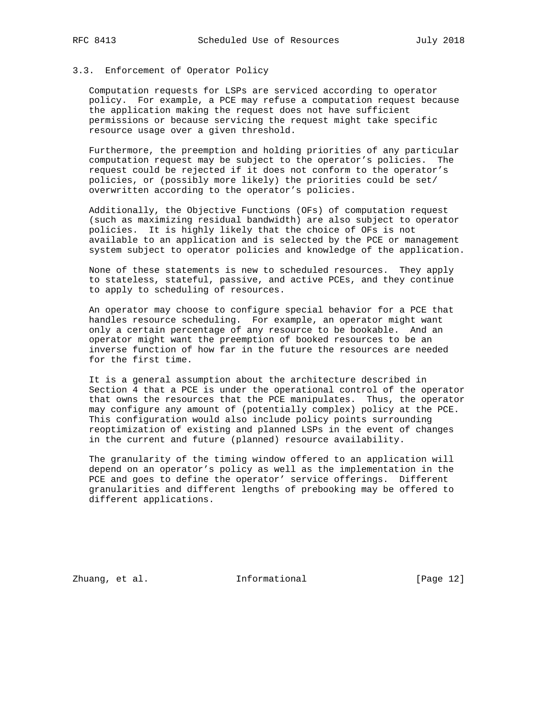# 3.3. Enforcement of Operator Policy

 Computation requests for LSPs are serviced according to operator policy. For example, a PCE may refuse a computation request because the application making the request does not have sufficient permissions or because servicing the request might take specific resource usage over a given threshold.

 Furthermore, the preemption and holding priorities of any particular computation request may be subject to the operator's policies. The request could be rejected if it does not conform to the operator's policies, or (possibly more likely) the priorities could be set/ overwritten according to the operator's policies.

 Additionally, the Objective Functions (OFs) of computation request (such as maximizing residual bandwidth) are also subject to operator policies. It is highly likely that the choice of OFs is not available to an application and is selected by the PCE or management system subject to operator policies and knowledge of the application.

 None of these statements is new to scheduled resources. They apply to stateless, stateful, passive, and active PCEs, and they continue to apply to scheduling of resources.

 An operator may choose to configure special behavior for a PCE that handles resource scheduling. For example, an operator might want only a certain percentage of any resource to be bookable. And an operator might want the preemption of booked resources to be an inverse function of how far in the future the resources are needed for the first time.

 It is a general assumption about the architecture described in Section 4 that a PCE is under the operational control of the operator that owns the resources that the PCE manipulates. Thus, the operator may configure any amount of (potentially complex) policy at the PCE. This configuration would also include policy points surrounding reoptimization of existing and planned LSPs in the event of changes in the current and future (planned) resource availability.

 The granularity of the timing window offered to an application will depend on an operator's policy as well as the implementation in the PCE and goes to define the operator' service offerings. Different granularities and different lengths of prebooking may be offered to different applications.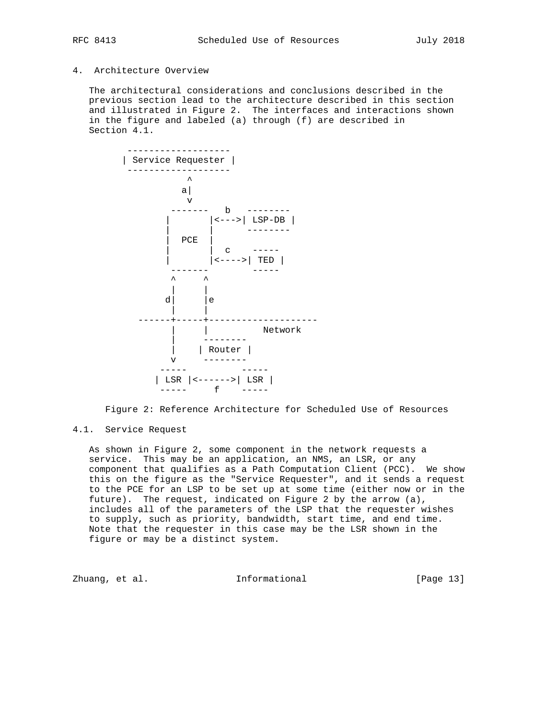# 4. Architecture Overview

 The architectural considerations and conclusions described in the previous section lead to the architecture described in this section and illustrated in Figure 2. The interfaces and interactions shown in the figure and labeled (a) through (f) are described in Section 4.1.



Figure 2: Reference Architecture for Scheduled Use of Resources

## 4.1. Service Request

 As shown in Figure 2, some component in the network requests a service. This may be an application, an NMS, an LSR, or any component that qualifies as a Path Computation Client (PCC). We show this on the figure as the "Service Requester", and it sends a request to the PCE for an LSP to be set up at some time (either now or in the future). The request, indicated on Figure 2 by the arrow (a), includes all of the parameters of the LSP that the requester wishes to supply, such as priority, bandwidth, start time, and end time. Note that the requester in this case may be the LSR shown in the figure or may be a distinct system.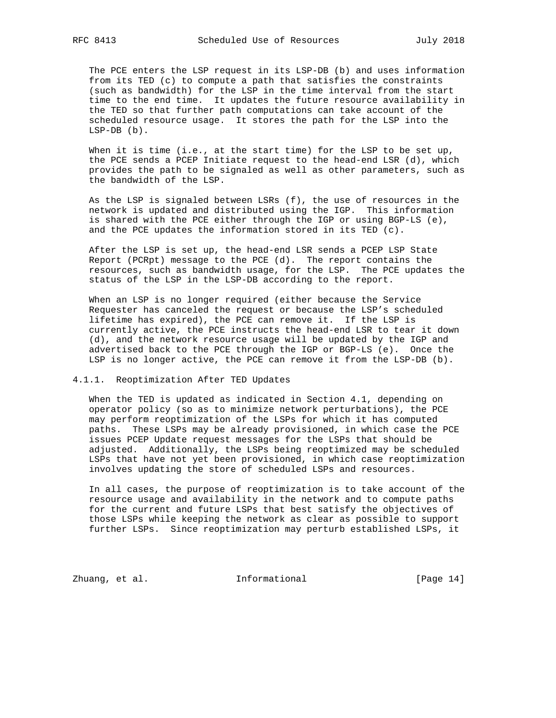The PCE enters the LSP request in its LSP-DB (b) and uses information from its TED (c) to compute a path that satisfies the constraints (such as bandwidth) for the LSP in the time interval from the start time to the end time. It updates the future resource availability in the TED so that further path computations can take account of the scheduled resource usage. It stores the path for the LSP into the LSP-DB (b).

When it is time (i.e., at the start time) for the LSP to be set up, the PCE sends a PCEP Initiate request to the head-end LSR (d), which provides the path to be signaled as well as other parameters, such as the bandwidth of the LSP.

 As the LSP is signaled between LSRs (f), the use of resources in the network is updated and distributed using the IGP. This information is shared with the PCE either through the IGP or using BGP-LS (e), and the PCE updates the information stored in its TED (c).

 After the LSP is set up, the head-end LSR sends a PCEP LSP State Report (PCRpt) message to the PCE (d). The report contains the resources, such as bandwidth usage, for the LSP. The PCE updates the status of the LSP in the LSP-DB according to the report.

 When an LSP is no longer required (either because the Service Requester has canceled the request or because the LSP's scheduled lifetime has expired), the PCE can remove it. If the LSP is currently active, the PCE instructs the head-end LSR to tear it down (d), and the network resource usage will be updated by the IGP and advertised back to the PCE through the IGP or BGP-LS (e). Once the LSP is no longer active, the PCE can remove it from the LSP-DB (b).

## 4.1.1. Reoptimization After TED Updates

 When the TED is updated as indicated in Section 4.1, depending on operator policy (so as to minimize network perturbations), the PCE may perform reoptimization of the LSPs for which it has computed paths. These LSPs may be already provisioned, in which case the PCE issues PCEP Update request messages for the LSPs that should be adjusted. Additionally, the LSPs being reoptimized may be scheduled LSPs that have not yet been provisioned, in which case reoptimization involves updating the store of scheduled LSPs and resources.

 In all cases, the purpose of reoptimization is to take account of the resource usage and availability in the network and to compute paths for the current and future LSPs that best satisfy the objectives of those LSPs while keeping the network as clear as possible to support further LSPs. Since reoptimization may perturb established LSPs, it

Zhuang, et al. 10 Informational 1999 [Page 14]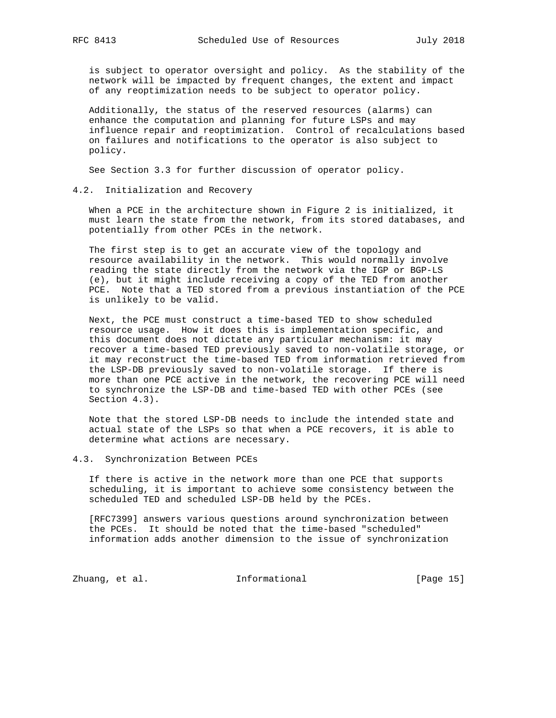is subject to operator oversight and policy. As the stability of the network will be impacted by frequent changes, the extent and impact of any reoptimization needs to be subject to operator policy.

 Additionally, the status of the reserved resources (alarms) can enhance the computation and planning for future LSPs and may influence repair and reoptimization. Control of recalculations based on failures and notifications to the operator is also subject to policy.

See Section 3.3 for further discussion of operator policy.

## 4.2. Initialization and Recovery

 When a PCE in the architecture shown in Figure 2 is initialized, it must learn the state from the network, from its stored databases, and potentially from other PCEs in the network.

 The first step is to get an accurate view of the topology and resource availability in the network. This would normally involve reading the state directly from the network via the IGP or BGP-LS (e), but it might include receiving a copy of the TED from another PCE. Note that a TED stored from a previous instantiation of the PCE is unlikely to be valid.

 Next, the PCE must construct a time-based TED to show scheduled resource usage. How it does this is implementation specific, and this document does not dictate any particular mechanism: it may recover a time-based TED previously saved to non-volatile storage, or it may reconstruct the time-based TED from information retrieved from the LSP-DB previously saved to non-volatile storage. If there is more than one PCE active in the network, the recovering PCE will need to synchronize the LSP-DB and time-based TED with other PCEs (see Section 4.3).

 Note that the stored LSP-DB needs to include the intended state and actual state of the LSPs so that when a PCE recovers, it is able to determine what actions are necessary.

### 4.3. Synchronization Between PCEs

 If there is active in the network more than one PCE that supports scheduling, it is important to achieve some consistency between the scheduled TED and scheduled LSP-DB held by the PCEs.

 [RFC7399] answers various questions around synchronization between the PCEs. It should be noted that the time-based "scheduled" information adds another dimension to the issue of synchronization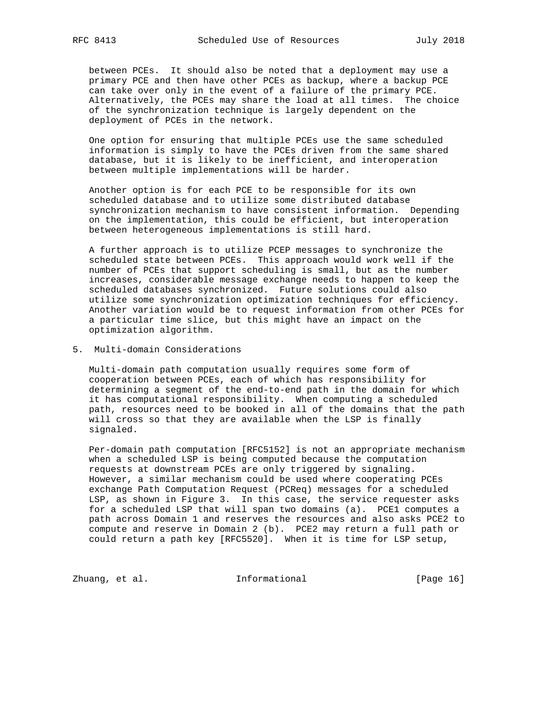between PCEs. It should also be noted that a deployment may use a primary PCE and then have other PCEs as backup, where a backup PCE can take over only in the event of a failure of the primary PCE. Alternatively, the PCEs may share the load at all times. The choice of the synchronization technique is largely dependent on the deployment of PCEs in the network.

 One option for ensuring that multiple PCEs use the same scheduled information is simply to have the PCEs driven from the same shared database, but it is likely to be inefficient, and interoperation between multiple implementations will be harder.

 Another option is for each PCE to be responsible for its own scheduled database and to utilize some distributed database synchronization mechanism to have consistent information. Depending on the implementation, this could be efficient, but interoperation between heterogeneous implementations is still hard.

 A further approach is to utilize PCEP messages to synchronize the scheduled state between PCEs. This approach would work well if the number of PCEs that support scheduling is small, but as the number increases, considerable message exchange needs to happen to keep the scheduled databases synchronized. Future solutions could also utilize some synchronization optimization techniques for efficiency. Another variation would be to request information from other PCEs for a particular time slice, but this might have an impact on the optimization algorithm.

5. Multi-domain Considerations

 Multi-domain path computation usually requires some form of cooperation between PCEs, each of which has responsibility for determining a segment of the end-to-end path in the domain for which it has computational responsibility. When computing a scheduled path, resources need to be booked in all of the domains that the path will cross so that they are available when the LSP is finally signaled.

 Per-domain path computation [RFC5152] is not an appropriate mechanism when a scheduled LSP is being computed because the computation requests at downstream PCEs are only triggered by signaling. However, a similar mechanism could be used where cooperating PCEs exchange Path Computation Request (PCReq) messages for a scheduled LSP, as shown in Figure 3. In this case, the service requester asks for a scheduled LSP that will span two domains (a). PCE1 computes a path across Domain 1 and reserves the resources and also asks PCE2 to compute and reserve in Domain 2 (b). PCE2 may return a full path or could return a path key [RFC5520]. When it is time for LSP setup,

Zhuang, et al. 100 and 111 and 111 and 101 and 101 and 101 and 101 and 101 and 101 and 101 and 101 and 101 and 101 and 101 and 101 and 101 and 101 and 101 and 101 and 101 and 101 and 101 and 101 and 101 and 101 and 101 and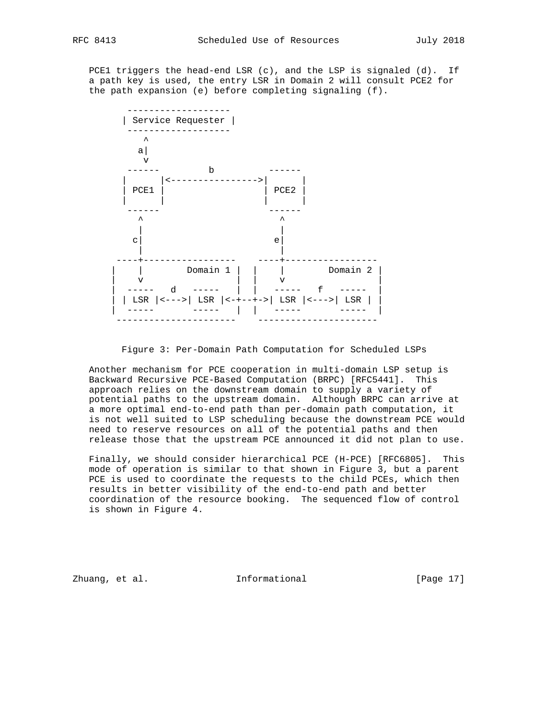PCE1 triggers the head-end LSR (c), and the LSP is signaled (d). If a path key is used, the entry LSR in Domain 2 will consult PCE2 for the path expansion (e) before completing signaling (f).



Figure 3: Per-Domain Path Computation for Scheduled LSPs

 Another mechanism for PCE cooperation in multi-domain LSP setup is Backward Recursive PCE-Based Computation (BRPC) [RFC5441]. This approach relies on the downstream domain to supply a variety of potential paths to the upstream domain. Although BRPC can arrive at a more optimal end-to-end path than per-domain path computation, it is not well suited to LSP scheduling because the downstream PCE would need to reserve resources on all of the potential paths and then release those that the upstream PCE announced it did not plan to use.

 Finally, we should consider hierarchical PCE (H-PCE) [RFC6805]. This mode of operation is similar to that shown in Figure 3, but a parent PCE is used to coordinate the requests to the child PCEs, which then results in better visibility of the end-to-end path and better coordination of the resource booking. The sequenced flow of control is shown in Figure 4.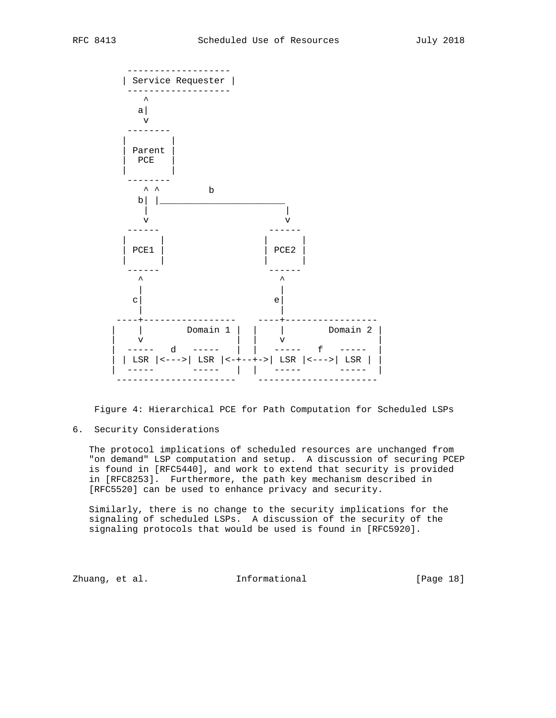

Figure 4: Hierarchical PCE for Path Computation for Scheduled LSPs

6. Security Considerations

 The protocol implications of scheduled resources are unchanged from "on demand" LSP computation and setup. A discussion of securing PCEP is found in [RFC5440], and work to extend that security is provided in [RFC8253]. Furthermore, the path key mechanism described in [RFC5520] can be used to enhance privacy and security.

 Similarly, there is no change to the security implications for the signaling of scheduled LSPs. A discussion of the security of the signaling protocols that would be used is found in [RFC5920].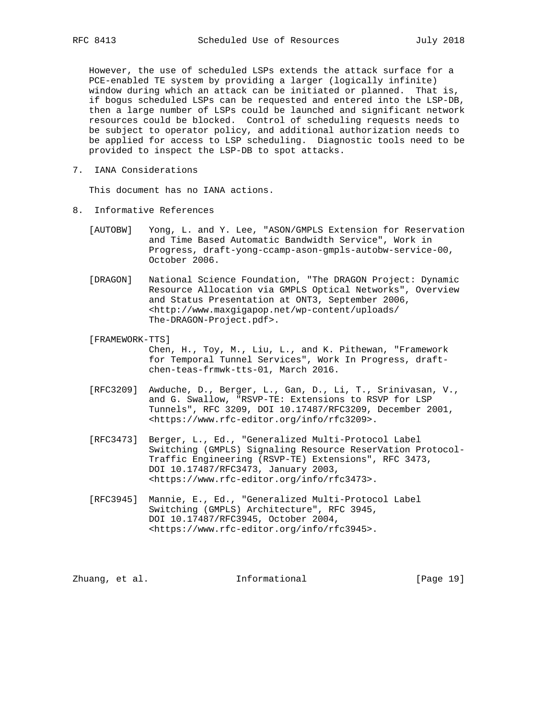However, the use of scheduled LSPs extends the attack surface for a PCE-enabled TE system by providing a larger (logically infinite) window during which an attack can be initiated or planned. That is, if bogus scheduled LSPs can be requested and entered into the LSP-DB, then a large number of LSPs could be launched and significant network resources could be blocked. Control of scheduling requests needs to be subject to operator policy, and additional authorization needs to be applied for access to LSP scheduling. Diagnostic tools need to be provided to inspect the LSP-DB to spot attacks.

7. IANA Considerations

This document has no IANA actions.

- 8. Informative References
	- [AUTOBW] Yong, L. and Y. Lee, "ASON/GMPLS Extension for Reservation and Time Based Automatic Bandwidth Service", Work in Progress, draft-yong-ccamp-ason-gmpls-autobw-service-00, October 2006.
	- [DRAGON] National Science Foundation, "The DRAGON Project: Dynamic Resource Allocation via GMPLS Optical Networks", Overview and Status Presentation at ONT3, September 2006, <http://www.maxgigapop.net/wp-content/uploads/ The-DRAGON-Project.pdf>.
	- [FRAMEWORK-TTS] Chen, H., Toy, M., Liu, L., and K. Pithewan, "Framework for Temporal Tunnel Services", Work In Progress, draft chen-teas-frmwk-tts-01, March 2016.
	- [RFC3209] Awduche, D., Berger, L., Gan, D., Li, T., Srinivasan, V., and G. Swallow, "RSVP-TE: Extensions to RSVP for LSP Tunnels", RFC 3209, DOI 10.17487/RFC3209, December 2001, <https://www.rfc-editor.org/info/rfc3209>.
	- [RFC3473] Berger, L., Ed., "Generalized Multi-Protocol Label Switching (GMPLS) Signaling Resource ReserVation Protocol- Traffic Engineering (RSVP-TE) Extensions", RFC 3473, DOI 10.17487/RFC3473, January 2003, <https://www.rfc-editor.org/info/rfc3473>.
	- [RFC3945] Mannie, E., Ed., "Generalized Multi-Protocol Label Switching (GMPLS) Architecture", RFC 3945, DOI 10.17487/RFC3945, October 2004, <https://www.rfc-editor.org/info/rfc3945>.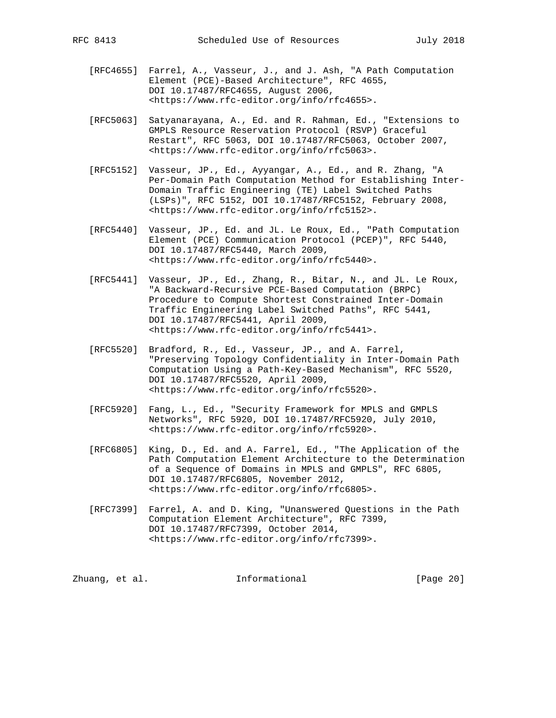- - [RFC4655] Farrel, A., Vasseur, J., and J. Ash, "A Path Computation Element (PCE)-Based Architecture", RFC 4655, DOI 10.17487/RFC4655, August 2006, <https://www.rfc-editor.org/info/rfc4655>.
	- [RFC5063] Satyanarayana, A., Ed. and R. Rahman, Ed., "Extensions to GMPLS Resource Reservation Protocol (RSVP) Graceful Restart", RFC 5063, DOI 10.17487/RFC5063, October 2007, <https://www.rfc-editor.org/info/rfc5063>.
	- [RFC5152] Vasseur, JP., Ed., Ayyangar, A., Ed., and R. Zhang, "A Per-Domain Path Computation Method for Establishing Inter- Domain Traffic Engineering (TE) Label Switched Paths (LSPs)", RFC 5152, DOI 10.17487/RFC5152, February 2008, <https://www.rfc-editor.org/info/rfc5152>.
	- [RFC5440] Vasseur, JP., Ed. and JL. Le Roux, Ed., "Path Computation Element (PCE) Communication Protocol (PCEP)", RFC 5440, DOI 10.17487/RFC5440, March 2009, <https://www.rfc-editor.org/info/rfc5440>.
	- [RFC5441] Vasseur, JP., Ed., Zhang, R., Bitar, N., and JL. Le Roux, "A Backward-Recursive PCE-Based Computation (BRPC) Procedure to Compute Shortest Constrained Inter-Domain Traffic Engineering Label Switched Paths", RFC 5441, DOI 10.17487/RFC5441, April 2009, <https://www.rfc-editor.org/info/rfc5441>.
	- [RFC5520] Bradford, R., Ed., Vasseur, JP., and A. Farrel, "Preserving Topology Confidentiality in Inter-Domain Path Computation Using a Path-Key-Based Mechanism", RFC 5520, DOI 10.17487/RFC5520, April 2009, <https://www.rfc-editor.org/info/rfc5520>.
	- [RFC5920] Fang, L., Ed., "Security Framework for MPLS and GMPLS Networks", RFC 5920, DOI 10.17487/RFC5920, July 2010, <https://www.rfc-editor.org/info/rfc5920>.
	- [RFC6805] King, D., Ed. and A. Farrel, Ed., "The Application of the Path Computation Element Architecture to the Determination of a Sequence of Domains in MPLS and GMPLS", RFC 6805, DOI 10.17487/RFC6805, November 2012, <https://www.rfc-editor.org/info/rfc6805>.
	- [RFC7399] Farrel, A. and D. King, "Unanswered Questions in the Path Computation Element Architecture", RFC 7399, DOI 10.17487/RFC7399, October 2014, <https://www.rfc-editor.org/info/rfc7399>.

Zhuang, et al. 100 and 111 and 111 and 111 and 121 and 121 and 121 and 121 and 121 and 121 and 121 and 121 and 121 and 121 and 121 and 121 and 121 and 121 and 121 and 121 and 121 and 121 and 121 and 121 and 121 and 121 and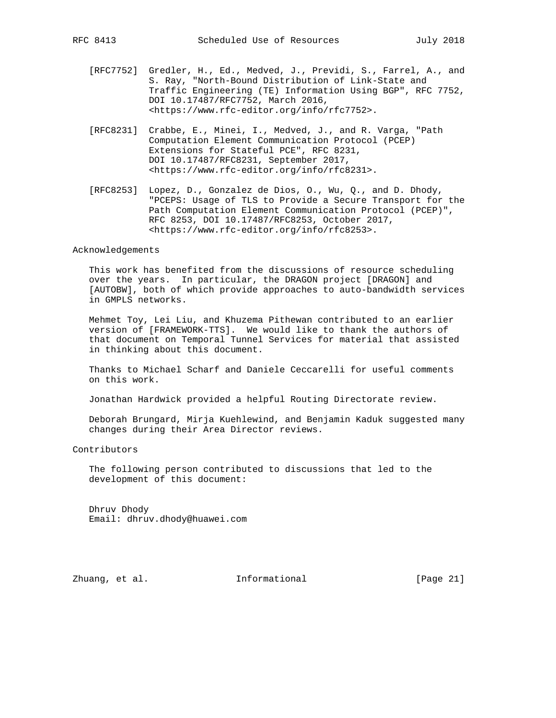- [RFC7752] Gredler, H., Ed., Medved, J., Previdi, S., Farrel, A., and S. Ray, "North-Bound Distribution of Link-State and Traffic Engineering (TE) Information Using BGP", RFC 7752, DOI 10.17487/RFC7752, March 2016, <https://www.rfc-editor.org/info/rfc7752>.
- [RFC8231] Crabbe, E., Minei, I., Medved, J., and R. Varga, "Path Computation Element Communication Protocol (PCEP) Extensions for Stateful PCE", RFC 8231, DOI 10.17487/RFC8231, September 2017, <https://www.rfc-editor.org/info/rfc8231>.
- [RFC8253] Lopez, D., Gonzalez de Dios, O., Wu, Q., and D. Dhody, "PCEPS: Usage of TLS to Provide a Secure Transport for the Path Computation Element Communication Protocol (PCEP)", RFC 8253, DOI 10.17487/RFC8253, October 2017, <https://www.rfc-editor.org/info/rfc8253>.

### Acknowledgements

 This work has benefited from the discussions of resource scheduling over the years. In particular, the DRAGON project [DRAGON] and [AUTOBW], both of which provide approaches to auto-bandwidth services in GMPLS networks.

 Mehmet Toy, Lei Liu, and Khuzema Pithewan contributed to an earlier version of [FRAMEWORK-TTS]. We would like to thank the authors of that document on Temporal Tunnel Services for material that assisted in thinking about this document.

 Thanks to Michael Scharf and Daniele Ceccarelli for useful comments on this work.

Jonathan Hardwick provided a helpful Routing Directorate review.

 Deborah Brungard, Mirja Kuehlewind, and Benjamin Kaduk suggested many changes during their Area Director reviews.

Contributors

 The following person contributed to discussions that led to the development of this document:

 Dhruv Dhody Email: dhruv.dhody@huawei.com

Zhuang, et al. Informational [Page 21]